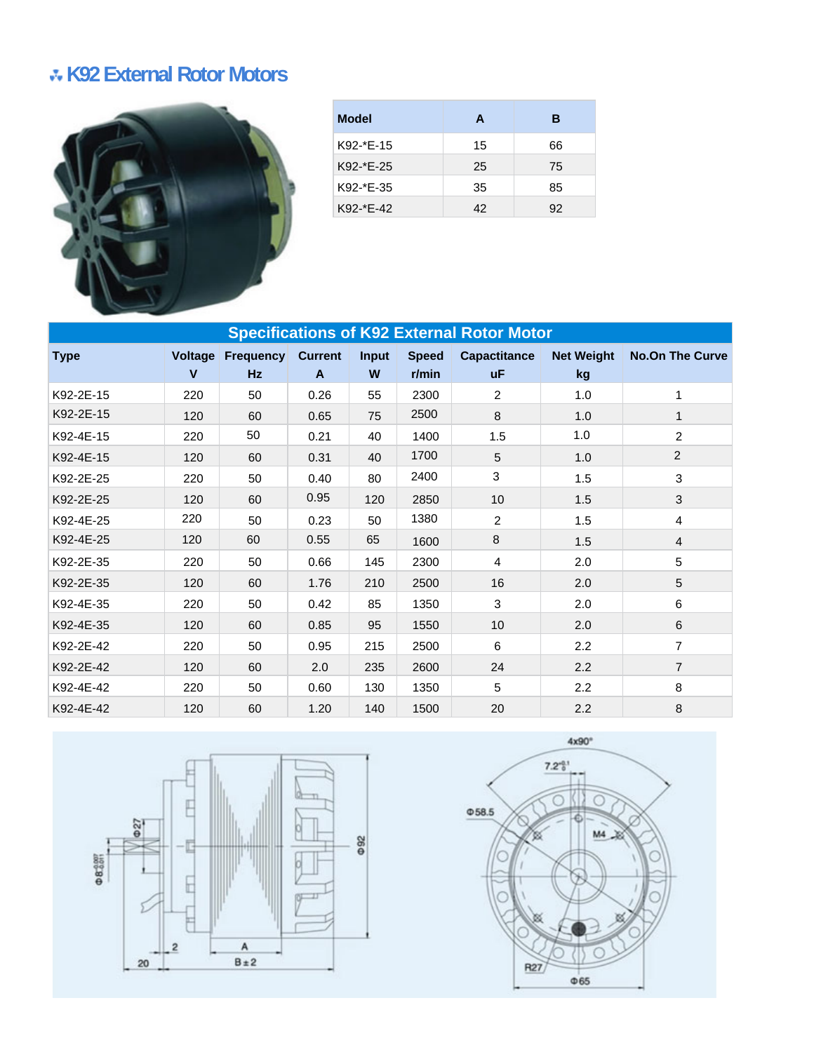## **K92 External Rotor Motors**



| <b>Model</b> | A  | в  |
|--------------|----|----|
| K92-*E-15    | 15 | 66 |
| $K92-*E-25$  | 25 | 75 |
| K92-*E-35    | 35 | 85 |
| K92-*E-42    | 42 | 92 |

| <b>Specifications of K92 External Rotor Motor</b> |                         |                 |                     |                   |                          |                                  |                         |                        |  |
|---------------------------------------------------|-------------------------|-----------------|---------------------|-------------------|--------------------------|----------------------------------|-------------------------|------------------------|--|
| <b>Type</b>                                       | Voltage<br>$\mathbf{V}$ | Frequency<br>Hz | <b>Current</b><br>A | <b>Input</b><br>W | <b>Speed</b><br>$r/m$ in | <b>Capactitance</b><br><b>uF</b> | <b>Net Weight</b><br>kg | <b>No.On The Curve</b> |  |
| K92-2E-15                                         | 220                     | 50              | 0.26                | 55                | 2300                     | $\overline{2}$                   | 1.0                     |                        |  |
| K92-2E-15                                         | 120                     | 60              | 0.65                | 75                | 2500                     | 8                                | 1.0                     | 1                      |  |
| K92-4E-15                                         | 220                     | 50              | 0.21                | 40                | 1400                     | 1.5                              | 1.0                     | $\overline{2}$         |  |
| K92-4E-15                                         | 120                     | 60              | 0.31                | 40                | 1700                     | 5                                | 1.0                     | $\overline{2}$         |  |
| K92-2E-25                                         | 220                     | 50              | 0.40                | 80                | 2400                     | 3                                | 1.5                     | 3                      |  |
| K92-2E-25                                         | 120                     | 60              | 0.95                | 120               | 2850                     | 10                               | 1.5                     | 3                      |  |
| K92-4E-25                                         | 220                     | 50              | 0.23                | 50                | 1380                     | 2                                | 1.5                     | 4                      |  |
| K92-4E-25                                         | 120                     | 60              | 0.55                | 65                | 1600                     | 8                                | 1.5                     | $\overline{4}$         |  |
| K92-2E-35                                         | 220                     | 50              | 0.66                | 145               | 2300                     | 4                                | 2.0                     | 5                      |  |
| K92-2E-35                                         | 120                     | 60              | 1.76                | 210               | 2500                     | 16                               | 2.0                     | 5                      |  |
| K92-4E-35                                         | 220                     | 50              | 0.42                | 85                | 1350                     | 3                                | 2.0                     | 6                      |  |
| K92-4E-35                                         | 120                     | 60              | 0.85                | 95                | 1550                     | 10 <sup>1</sup>                  | 2.0                     | 6                      |  |
| K92-2E-42                                         | 220                     | 50              | 0.95                | 215               | 2500                     | 6                                | 2.2                     | $\overline{7}$         |  |
| K92-2E-42                                         | 120                     | 60              | 2.0                 | 235               | 2600                     | 24                               | 2.2                     | $\overline{7}$         |  |
| K92-4E-42                                         | 220                     | 50              | 0.60                | 130               | 1350                     | 5                                | 2.2                     | 8                      |  |
| K92-4E-42                                         | 120                     | 60              | 1.20                | 140               | 1500                     | 20                               | 2.2                     | 8                      |  |



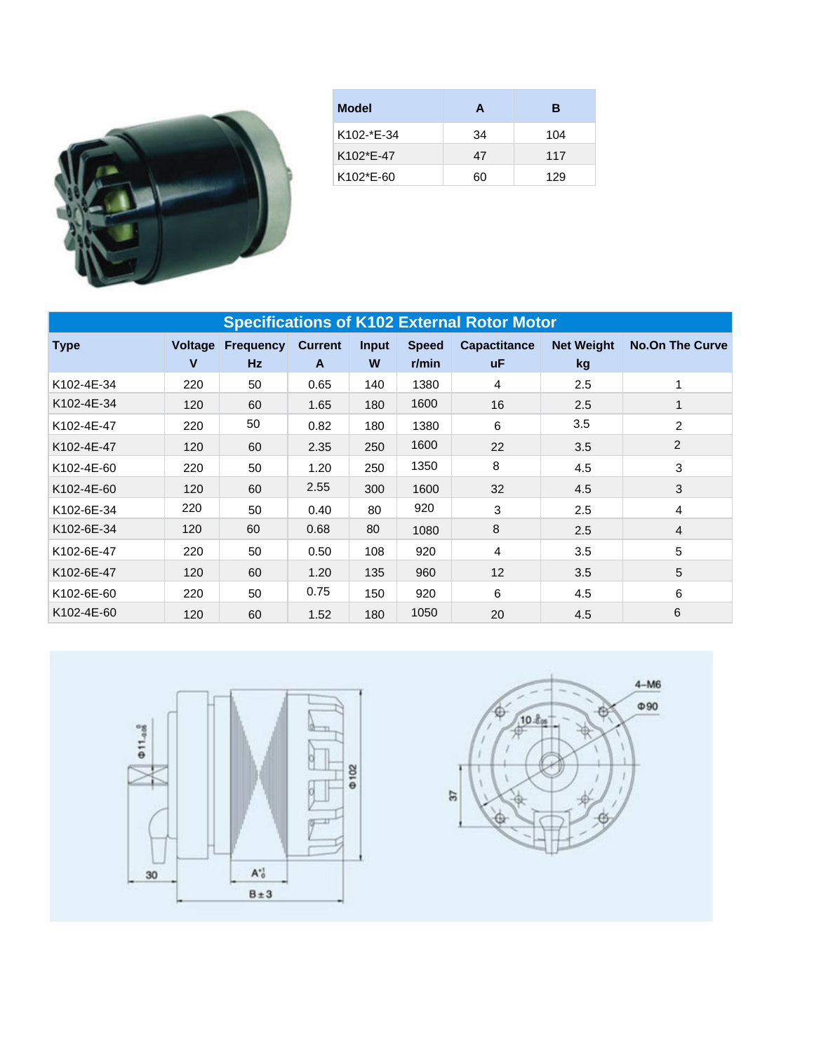

| <b>Model</b>           | A  | в   |
|------------------------|----|-----|
| K102-*E-34             | 34 | 104 |
| K <sub>102</sub> *F-47 | 47 | 117 |
| K102*E-60              | 60 | 129 |

| <b>Specifications of K102 External Rotor Motor</b> |                                |                               |                     |            |                          |                           |                         |                        |  |
|----------------------------------------------------|--------------------------------|-------------------------------|---------------------|------------|--------------------------|---------------------------|-------------------------|------------------------|--|
| <b>Type</b>                                        | <b>Voltage</b><br>$\mathbf{V}$ | <b>Frequency</b><br><b>Hz</b> | <b>Current</b><br>A | Input<br>W | <b>Speed</b><br>$r/m$ in | <b>Capactitance</b><br>uΕ | <b>Net Weight</b><br>kg | <b>No.On The Curve</b> |  |
| K102-4E-34                                         | 220                            | 50                            | 0.65                | 140        | 1380                     | 4                         | 2.5                     |                        |  |
| K102-4E-34                                         | 120                            | 60                            | 1.65                | 180        | 1600                     | 16                        | 2.5                     |                        |  |
| K102-4E-47                                         | 220                            | 50                            | 0.82                | 180        | 1380                     | 6                         | 3.5                     | $\overline{c}$         |  |
| K102-4E-47                                         | 120                            | 60                            | 2.35                | 250        | 1600                     | 22                        | 3.5                     | $\overline{2}$         |  |
| K102-4E-60                                         | 220                            | 50                            | 1.20                | 250        | 1350                     | 8                         | 4.5                     | 3                      |  |
| K102-4E-60                                         | 120                            | 60                            | 2.55                | 300        | 1600                     | 32                        | 4.5                     | 3                      |  |
| K102-6E-34                                         | 220                            | 50                            | 0.40                | 80         | 920                      | 3                         | 2.5                     | 4                      |  |
| K102-6E-34                                         | 120                            | 60                            | 0.68                | 80         | 1080                     | 8                         | 2.5                     | 4                      |  |
| K102-6E-47                                         | 220                            | 50                            | 0.50                | 108        | 920                      | 4                         | 3.5                     | 5                      |  |
| K102-6E-47                                         | 120                            | 60                            | 1.20                | 135        | 960                      | 12                        | 3.5                     | 5                      |  |
| K102-6E-60                                         | 220                            | 50                            | 0.75                | 150        | 920                      | 6                         | 4.5                     | 6                      |  |
| K102-4E-60                                         | 120                            | 60                            | 1.52                | 180        | 1050                     | 20                        | 4.5                     | 6                      |  |